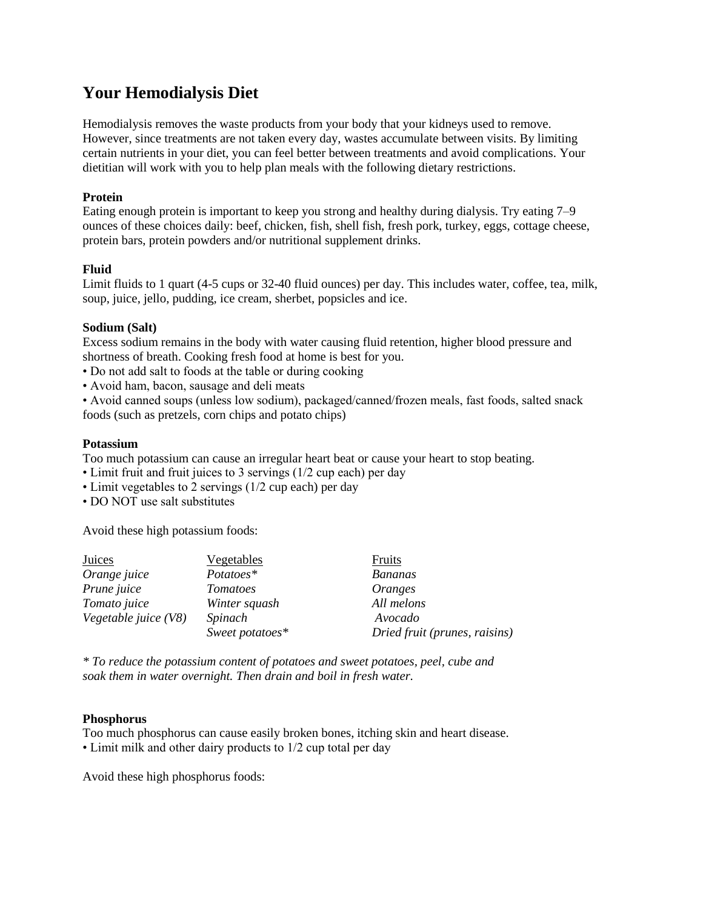# **Your Hemodialysis Diet**

Hemodialysis removes the waste products from your body that your kidneys used to remove. However, since treatments are not taken every day, wastes accumulate between visits. By limiting certain nutrients in your diet, you can feel better between treatments and avoid complications. Your dietitian will work with you to help plan meals with the following dietary restrictions.

#### **Protein**

Eating enough protein is important to keep you strong and healthy during dialysis. Try eating 7–9 ounces of these choices daily: beef, chicken, fish, shell fish, fresh pork, turkey, eggs, cottage cheese, protein bars, protein powders and/or nutritional supplement drinks.

## **Fluid**

Limit fluids to 1 quart (4-5 cups or 32-40 fluid ounces) per day. This includes water, coffee, tea, milk, soup, juice, jello, pudding, ice cream, sherbet, popsicles and ice.

## **Sodium (Salt)**

Excess sodium remains in the body with water causing fluid retention, higher blood pressure and shortness of breath. Cooking fresh food at home is best for you.

- Do not add salt to foods at the table or during cooking
- Avoid ham, bacon, sausage and deli meats

• Avoid canned soups (unless low sodium), packaged/canned/frozen meals, fast foods, salted snack foods (such as pretzels, corn chips and potato chips)

## **Potassium**

Too much potassium can cause an irregular heart beat or cause your heart to stop beating.

- Limit fruit and fruit juices to 3 servings (1/2 cup each) per day
- Limit vegetables to 2 servings (1/2 cup each) per day
- DO NOT use salt substitutes

Avoid these high potassium foods:

| Juices               | Vegetables      | Fruits                        |
|----------------------|-----------------|-------------------------------|
| Orange juice         | Potatoes*       | <b>Bananas</b>                |
| Prune juice          | <i>Tomatoes</i> | <i>Oranges</i>                |
| Tomato juice         | Winter squash   | All melons                    |
| Vegetable juice (V8) | Spinach         | Avocado                       |
|                      | Sweet potatoes* | Dried fruit (prunes, raisins) |

*\* To reduce the potassium content of potatoes and sweet potatoes, peel, cube and soak them in water overnight. Then drain and boil in fresh water.*

#### **Phosphorus**

Too much phosphorus can cause easily broken bones, itching skin and heart disease. • Limit milk and other dairy products to 1/2 cup total per day

Avoid these high phosphorus foods: